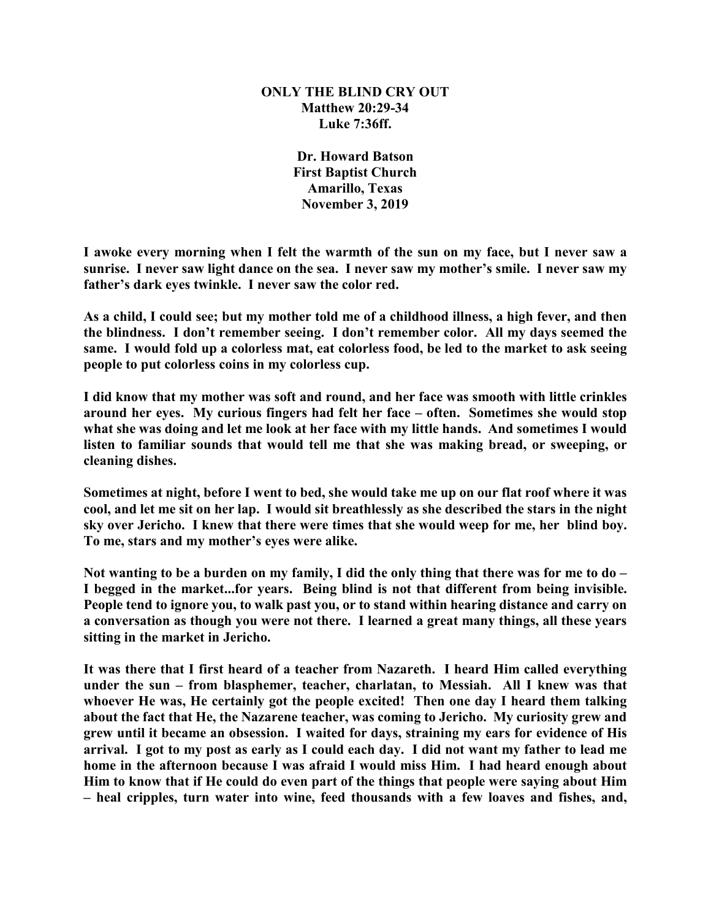## **ONLY THE BLIND CRY OUT Matthew 20:29-34 Luke 7:36ff.**

**Dr. Howard Batson First Baptist Church Amarillo, Texas November 3, 2019**

**I awoke every morning when I felt the warmth of the sun on my face, but I never saw a sunrise. I never saw light dance on the sea. I never saw my mother's smile. I never saw my father's dark eyes twinkle. I never saw the color red.**

**As a child, I could see; but my mother told me of a childhood illness, a high fever, and then the blindness. I don't remember seeing. I don't remember color. All my days seemed the same. I would fold up a colorless mat, eat colorless food, be led to the market to ask seeing people to put colorless coins in my colorless cup.** 

**I did know that my mother was soft and round, and her face was smooth with little crinkles around her eyes. My curious fingers had felt her face – often. Sometimes she would stop what she was doing and let me look at her face with my little hands. And sometimes I would listen to familiar sounds that would tell me that she was making bread, or sweeping, or cleaning dishes.**

**Sometimes at night, before I went to bed, she would take me up on our flat roof where it was cool, and let me sit on her lap. I would sit breathlessly as she described the stars in the night sky over Jericho. I knew that there were times that she would weep for me, her blind boy. To me, stars and my mother's eyes were alike.**

**Not wanting to be a burden on my family, I did the only thing that there was for me to do – I begged in the market...for years. Being blind is not that different from being invisible. People tend to ignore you, to walk past you, or to stand within hearing distance and carry on a conversation as though you were not there. I learned a great many things, all these years sitting in the market in Jericho.**

**It was there that I first heard of a teacher from Nazareth. I heard Him called everything under the sun – from blasphemer, teacher, charlatan, to Messiah. All I knew was that whoever He was, He certainly got the people excited! Then one day I heard them talking about the fact that He, the Nazarene teacher, was coming to Jericho. My curiosity grew and grew until it became an obsession. I waited for days, straining my ears for evidence of His arrival. I got to my post as early as I could each day. I did not want my father to lead me home in the afternoon because I was afraid I would miss Him. I had heard enough about Him to know that if He could do even part of the things that people were saying about Him – heal cripples, turn water into wine, feed thousands with a few loaves and fishes, and,**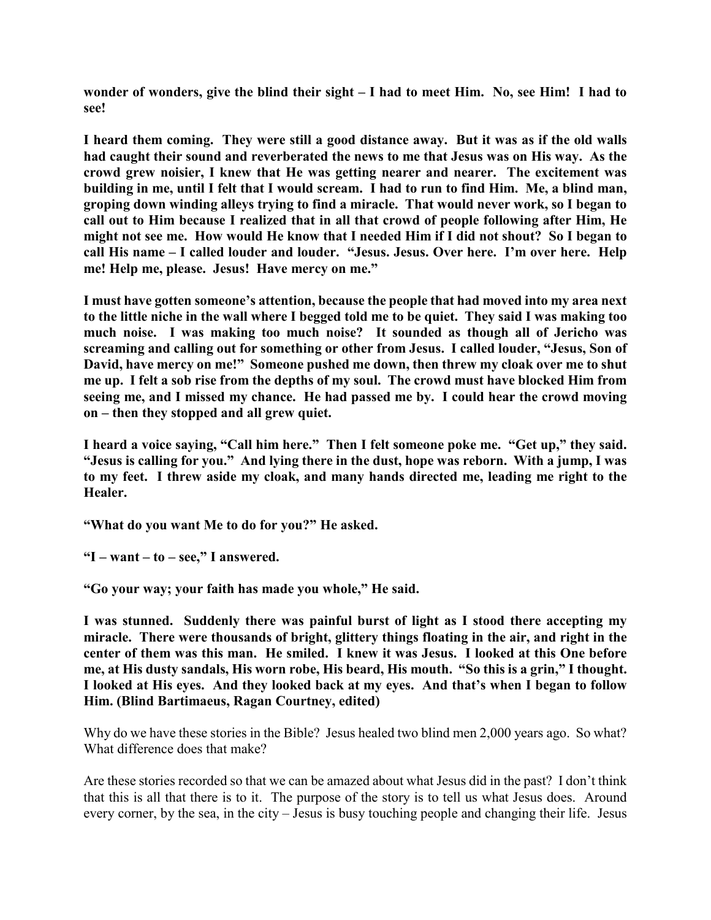**wonder of wonders, give the blind their sight – I had to meet Him. No, see Him! I had to see!**

**I heard them coming. They were still a good distance away. But it was as if the old walls had caught their sound and reverberated the news to me that Jesus was on His way. As the crowd grew noisier, I knew that He was getting nearer and nearer. The excitement was building in me, until I felt that I would scream. I had to run to find Him. Me, a blind man, groping down winding alleys trying to find a miracle. That would never work, so I began to call out to Him because I realized that in all that crowd of people following after Him, He might not see me. How would He know that I needed Him if I did not shout? So I began to call His name – I called louder and louder. "Jesus. Jesus. Over here. I'm over here. Help me! Help me, please. Jesus! Have mercy on me."**

**I must have gotten someone's attention, because the people that had moved into my area next to the little niche in the wall where I begged told me to be quiet. They said I was making too much noise. I was making too much noise? It sounded as though all of Jericho was screaming and calling out for something or other from Jesus. I called louder, "Jesus, Son of David, have mercy on me!" Someone pushed me down, then threw my cloak over me to shut me up. I felt a sob rise from the depths of my soul. The crowd must have blocked Him from seeing me, and I missed my chance. He had passed me by. I could hear the crowd moving on – then they stopped and all grew quiet.**

**I heard a voice saying, "Call him here." Then I felt someone poke me. "Get up," they said. "Jesus is calling for you." And lying there in the dust, hope was reborn. With a jump, I was to my feet. I threw aside my cloak, and many hands directed me, leading me right to the Healer.**

**"What do you want Me to do for you?" He asked.**

**"I – want – to – see," I answered.**

**"Go your way; your faith has made you whole," He said.**

**I was stunned. Suddenly there was painful burst of light as I stood there accepting my miracle. There were thousands of bright, glittery things floating in the air, and right in the center of them was this man. He smiled. I knew it was Jesus. I looked at this One before me, at His dusty sandals, His worn robe, His beard, His mouth. "So this is a grin," I thought. I looked at His eyes. And they looked back at my eyes. And that's when I began to follow Him. (Blind Bartimaeus, Ragan Courtney, edited)**

Why do we have these stories in the Bible? Jesus healed two blind men 2,000 years ago. So what? What difference does that make?

Are these stories recorded so that we can be amazed about what Jesus did in the past? I don't think that this is all that there is to it. The purpose of the story is to tell us what Jesus does. Around every corner, by the sea, in the city – Jesus is busy touching people and changing their life. Jesus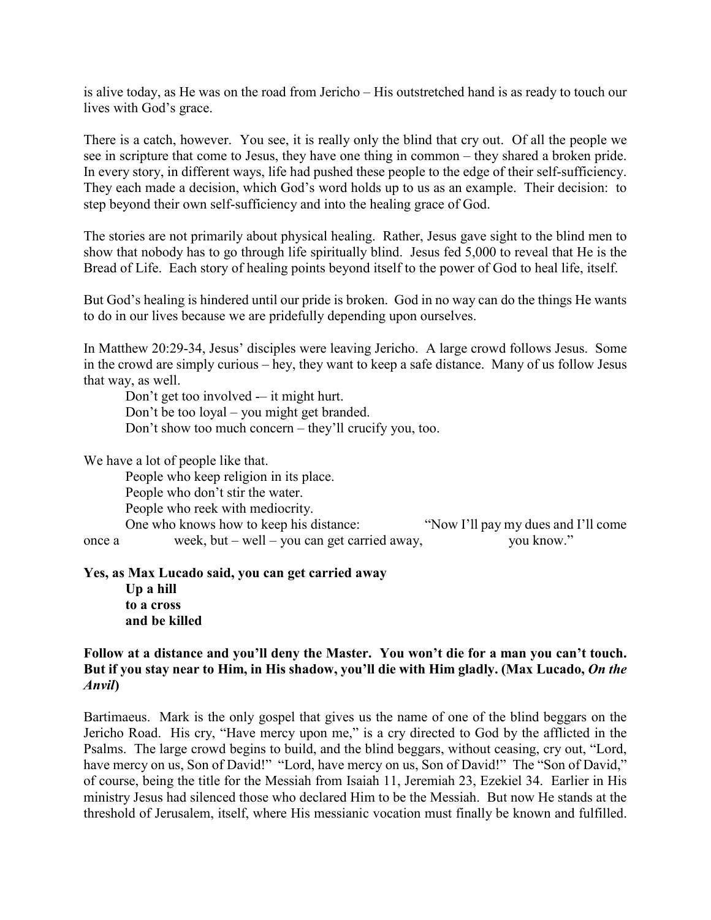is alive today, as He was on the road from Jericho – His outstretched hand is as ready to touch our lives with God's grace.

There is a catch, however. You see, it is really only the blind that cry out. Of all the people we see in scripture that come to Jesus, they have one thing in common – they shared a broken pride. In every story, in different ways, life had pushed these people to the edge of their self-sufficiency. They each made a decision, which God's word holds up to us as an example. Their decision: to step beyond their own self-sufficiency and into the healing grace of God.

The stories are not primarily about physical healing. Rather, Jesus gave sight to the blind men to show that nobody has to go through life spiritually blind. Jesus fed 5,000 to reveal that He is the Bread of Life. Each story of healing points beyond itself to the power of God to heal life, itself.

But God's healing is hindered until our pride is broken. God in no way can do the things He wants to do in our lives because we are pridefully depending upon ourselves.

In Matthew 20:29-34, Jesus' disciples were leaving Jericho. A large crowd follows Jesus. Some in the crowd are simply curious – hey, they want to keep a safe distance. Many of us follow Jesus that way, as well.

Don't get too involved -– it might hurt. Don't be too loyal – you might get branded. Don't show too much concern – they'll crucify you, too.

We have a lot of people like that.

People who keep religion in its place. People who don't stir the water. People who reek with mediocrity. One who knows how to keep his distance: "Now I'll pay my dues and I'll come once a week, but – well – you can get carried away, you know."

**Yes, as Max Lucado said, you can get carried away Up a hill to a cross and be killed**

## **Follow at a distance and you'll deny the Master. You won't die for a man you can't touch. But if you stay near to Him, in His shadow, you'll die with Him gladly. (Max Lucado,** *On the Anvil***)**

Bartimaeus. Mark is the only gospel that gives us the name of one of the blind beggars on the Jericho Road. His cry, "Have mercy upon me," is a cry directed to God by the afflicted in the Psalms. The large crowd begins to build, and the blind beggars, without ceasing, cry out, "Lord, have mercy on us, Son of David!" "Lord, have mercy on us, Son of David!" The "Son of David," of course, being the title for the Messiah from Isaiah 11, Jeremiah 23, Ezekiel 34. Earlier in His ministry Jesus had silenced those who declared Him to be the Messiah. But now He stands at the threshold of Jerusalem, itself, where His messianic vocation must finally be known and fulfilled.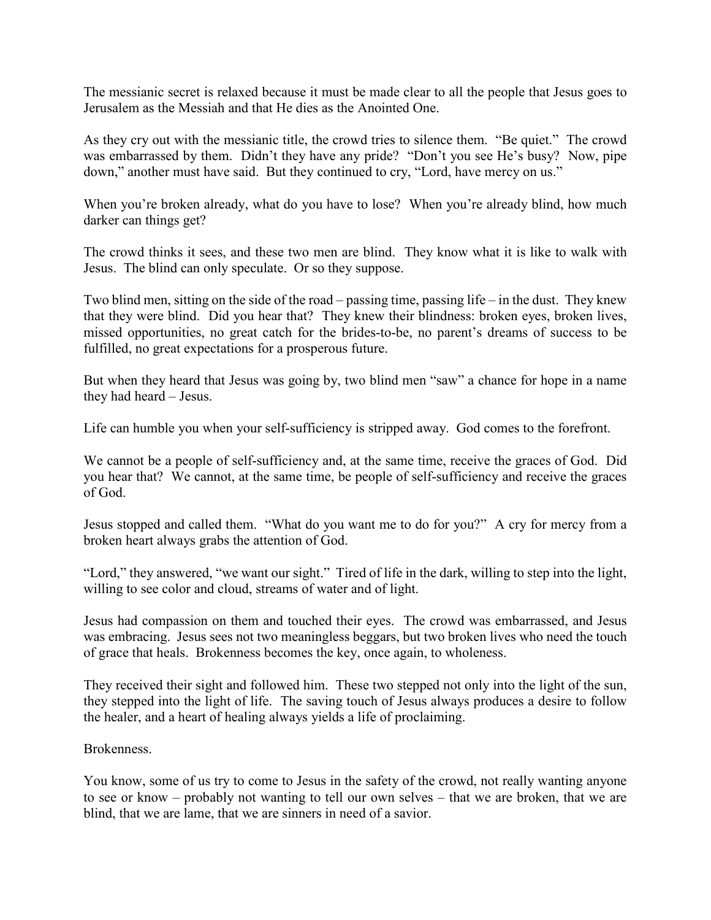The messianic secret is relaxed because it must be made clear to all the people that Jesus goes to Jerusalem as the Messiah and that He dies as the Anointed One.

As they cry out with the messianic title, the crowd tries to silence them. "Be quiet." The crowd was embarrassed by them. Didn't they have any pride? "Don't you see He's busy? Now, pipe down," another must have said. But they continued to cry, "Lord, have mercy on us."

When you're broken already, what do you have to lose? When you're already blind, how much darker can things get?

The crowd thinks it sees, and these two men are blind. They know what it is like to walk with Jesus. The blind can only speculate. Or so they suppose.

Two blind men, sitting on the side of the road – passing time, passing life – in the dust. They knew that they were blind. Did you hear that? They knew their blindness: broken eyes, broken lives, missed opportunities, no great catch for the brides-to-be, no parent's dreams of success to be fulfilled, no great expectations for a prosperous future.

But when they heard that Jesus was going by, two blind men "saw" a chance for hope in a name they had heard – Jesus.

Life can humble you when your self-sufficiency is stripped away. God comes to the forefront.

We cannot be a people of self-sufficiency and, at the same time, receive the graces of God. Did you hear that? We cannot, at the same time, be people of self-sufficiency and receive the graces of God.

Jesus stopped and called them. "What do you want me to do for you?" A cry for mercy from a broken heart always grabs the attention of God.

"Lord," they answered, "we want our sight." Tired of life in the dark, willing to step into the light, willing to see color and cloud, streams of water and of light.

Jesus had compassion on them and touched their eyes. The crowd was embarrassed, and Jesus was embracing. Jesus sees not two meaningless beggars, but two broken lives who need the touch of grace that heals. Brokenness becomes the key, once again, to wholeness.

They received their sight and followed him. These two stepped not only into the light of the sun, they stepped into the light of life. The saving touch of Jesus always produces a desire to follow the healer, and a heart of healing always yields a life of proclaiming.

Brokenness.

You know, some of us try to come to Jesus in the safety of the crowd, not really wanting anyone to see or know – probably not wanting to tell our own selves – that we are broken, that we are blind, that we are lame, that we are sinners in need of a savior.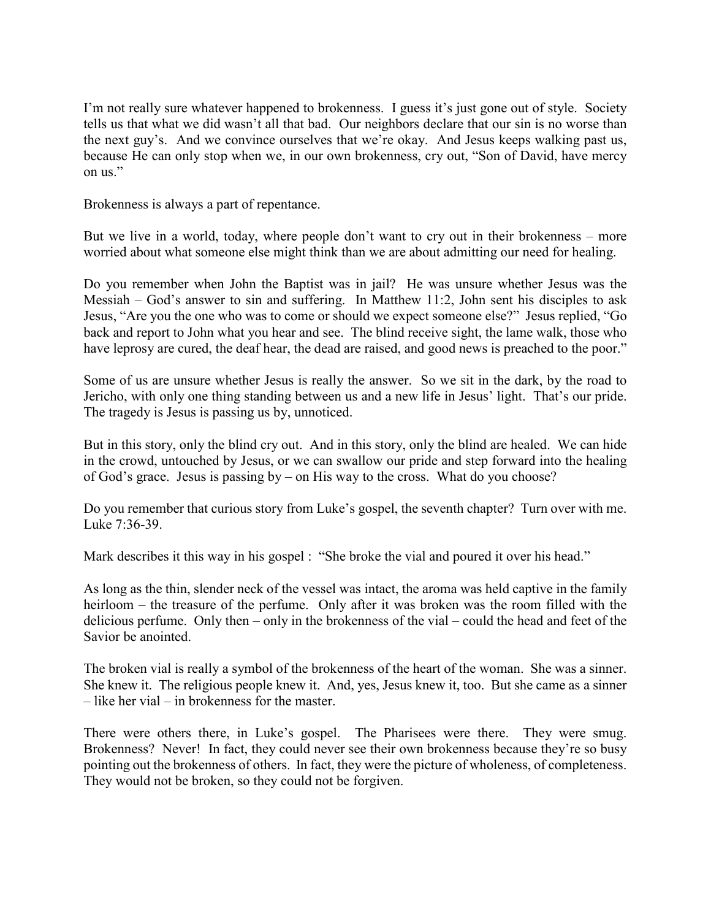I'm not really sure whatever happened to brokenness. I guess it's just gone out of style. Society tells us that what we did wasn't all that bad. Our neighbors declare that our sin is no worse than the next guy's. And we convince ourselves that we're okay. And Jesus keeps walking past us, because He can only stop when we, in our own brokenness, cry out, "Son of David, have mercy on us."

Brokenness is always a part of repentance.

But we live in a world, today, where people don't want to cry out in their brokenness – more worried about what someone else might think than we are about admitting our need for healing.

Do you remember when John the Baptist was in jail? He was unsure whether Jesus was the Messiah – God's answer to sin and suffering. In Matthew 11:2, John sent his disciples to ask Jesus, "Are you the one who was to come or should we expect someone else?" Jesus replied, "Go back and report to John what you hear and see. The blind receive sight, the lame walk, those who have leprosy are cured, the deaf hear, the dead are raised, and good news is preached to the poor."

Some of us are unsure whether Jesus is really the answer. So we sit in the dark, by the road to Jericho, with only one thing standing between us and a new life in Jesus' light. That's our pride. The tragedy is Jesus is passing us by, unnoticed.

But in this story, only the blind cry out. And in this story, only the blind are healed. We can hide in the crowd, untouched by Jesus, or we can swallow our pride and step forward into the healing of God's grace. Jesus is passing by – on His way to the cross. What do you choose?

Do you remember that curious story from Luke's gospel, the seventh chapter? Turn over with me. Luke 7:36-39.

Mark describes it this way in his gospel : "She broke the vial and poured it over his head."

As long as the thin, slender neck of the vessel was intact, the aroma was held captive in the family heirloom – the treasure of the perfume. Only after it was broken was the room filled with the delicious perfume. Only then – only in the brokenness of the vial – could the head and feet of the Savior be anointed.

The broken vial is really a symbol of the brokenness of the heart of the woman. She was a sinner. She knew it. The religious people knew it. And, yes, Jesus knew it, too. But she came as a sinner – like her vial – in brokenness for the master.

There were others there, in Luke's gospel. The Pharisees were there. They were smug. Brokenness? Never! In fact, they could never see their own brokenness because they're so busy pointing out the brokenness of others. In fact, they were the picture of wholeness, of completeness. They would not be broken, so they could not be forgiven.